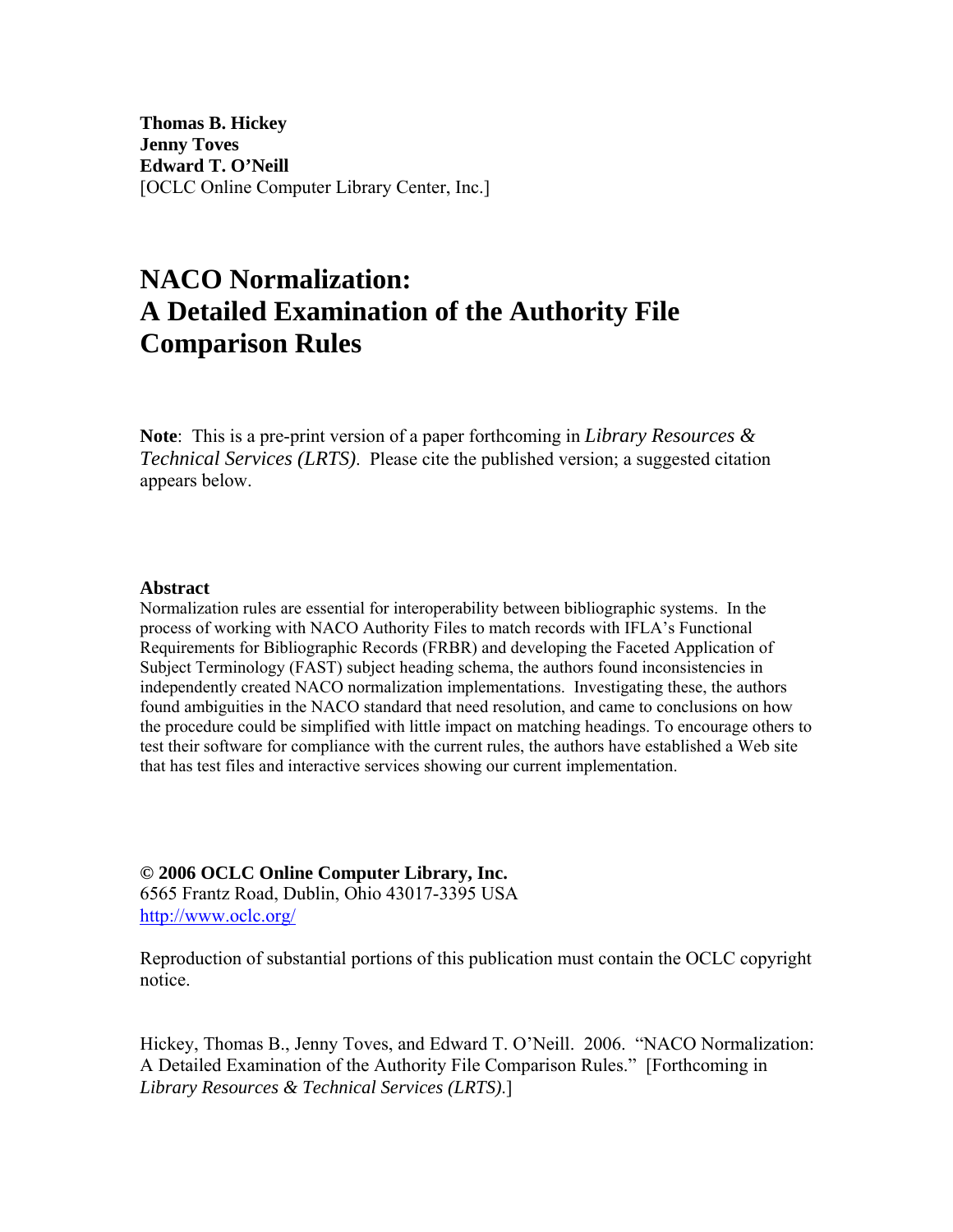**Thomas B. Hickey Jenny Toves Edward T. O'Neill**  [OCLC Online Computer Library Center, Inc.]

# **NACO Normalization: A Detailed Examination of the Authority File Comparison Rules**

**Note**: This is a pre-print version of a paper forthcoming in *Library Resources & Technical Services (LRTS)*. Please cite the published version; a suggested citation appears below.

## **Abstract**

Normalization rules are essential for interoperability between bibliographic systems. In the process of working with NACO Authority Files to match records with IFLA's Functional Requirements for Bibliographic Records (FRBR) and developing the Faceted Application of Subject Terminology (FAST) subject heading schema, the authors found inconsistencies in independently created NACO normalization implementations. Investigating these, the authors found ambiguities in the NACO standard that need resolution, and came to conclusions on how the procedure could be simplified with little impact on matching headings. To encourage others to test their software for compliance with the current rules, the authors have established a Web site that has test files and interactive services showing our current implementation.

## **© 2006 OCLC Online Computer Library, Inc.**

6565 Frantz Road, Dublin, Ohio 43017-3395 USA <http://www.oclc.org/>

Reproduction of substantial portions of this publication must contain the OCLC copyright notice.

Hickey, Thomas B., Jenny Toves, and Edward T. O'Neill. 2006. "NACO Normalization: A Detailed Examination of the Authority File Comparison Rules." [Forthcoming in *Library Resources & Technical Services (LRTS)*.]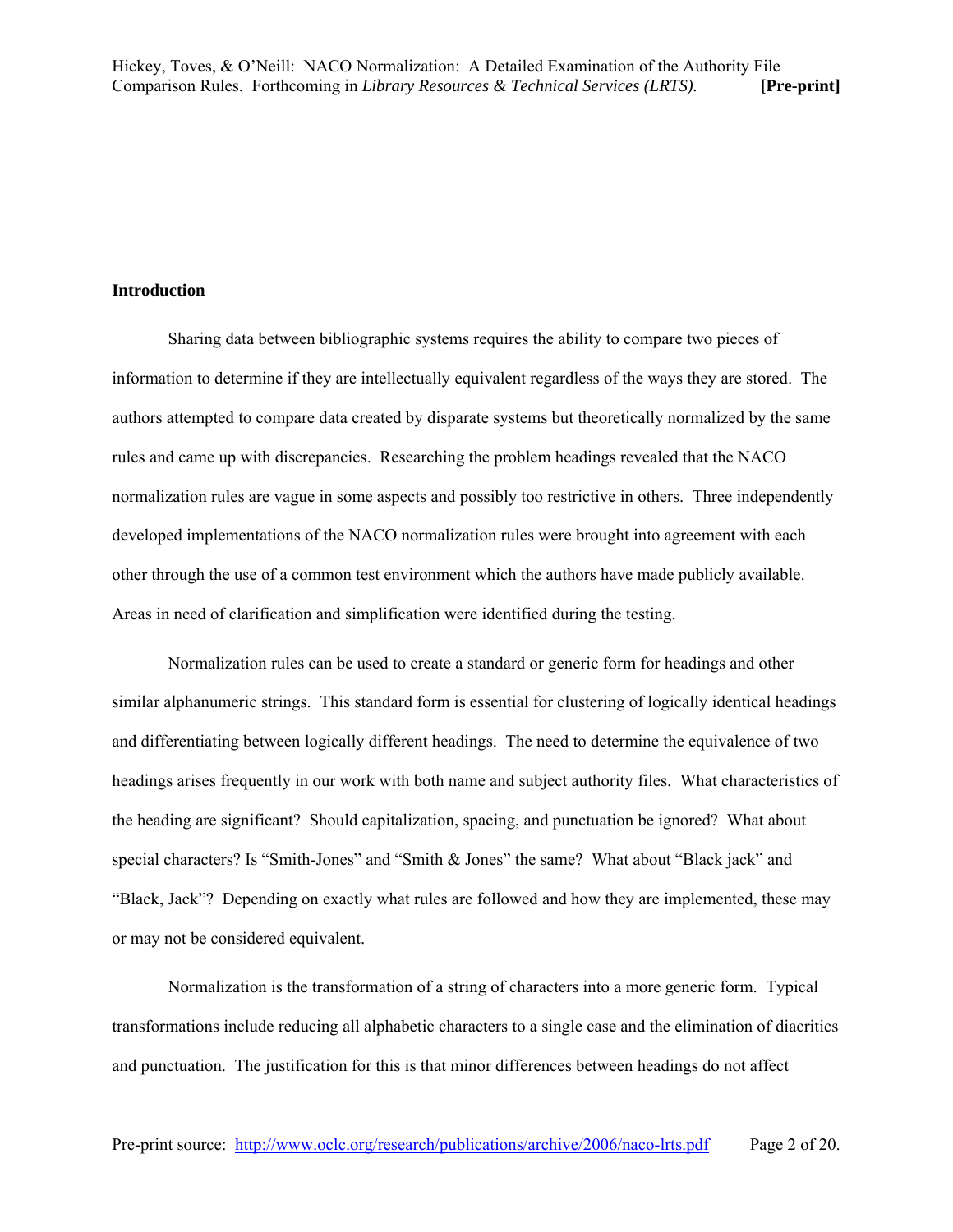## **Introduction**

Sharing data between bibliographic systems requires the ability to compare two pieces of information to determine if they are intellectually equivalent regardless of the ways they are stored. The authors attempted to compare data created by disparate systems but theoretically normalized by the same rules and came up with discrepancies. Researching the problem headings revealed that the NACO normalization rules are vague in some aspects and possibly too restrictive in others. Three independently developed implementations of the NACO normalization rules were brought into agreement with each other through the use of a common test environment which the authors have made publicly available. Areas in need of clarification and simplification were identified during the testing.

Normalization rules can be used to create a standard or generic form for headings and other similar alphanumeric strings. This standard form is essential for clustering of logically identical headings and differentiating between logically different headings. The need to determine the equivalence of two headings arises frequently in our work with both name and subject authority files. What characteristics of the heading are significant? Should capitalization, spacing, and punctuation be ignored? What about special characters? Is "Smith-Jones" and "Smith & Jones" the same? What about "Black jack" and "Black, Jack"? Depending on exactly what rules are followed and how they are implemented, these may or may not be considered equivalent.

Normalization is the transformation of a string of characters into a more generic form. Typical transformations include reducing all alphabetic characters to a single case and the elimination of diacritics and punctuation. The justification for this is that minor differences between headings do not affect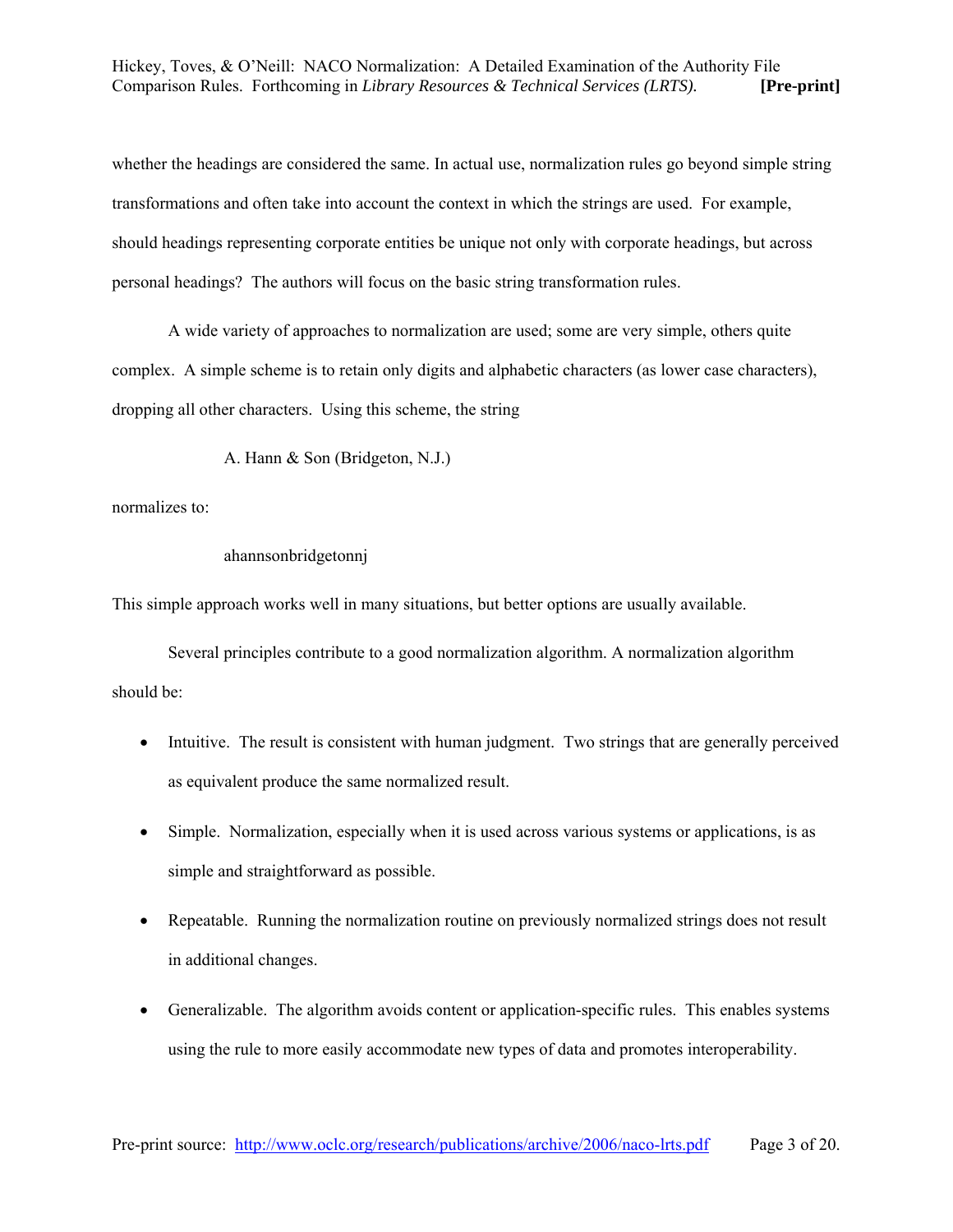whether the headings are considered the same. In actual use, normalization rules go beyond simple string transformations and often take into account the context in which the strings are used. For example, should headings representing corporate entities be unique not only with corporate headings, but across personal headings? The authors will focus on the basic string transformation rules.

A wide variety of approaches to normalization are used; some are very simple, others quite complex. A simple scheme is to retain only digits and alphabetic characters (as lower case characters), dropping all other characters. Using this scheme, the string

A. Hann & Son (Bridgeton, N.J.)

normalizes to:

## ahannsonbridgetonnj

This simple approach works well in many situations, but better options are usually available.

Several principles contribute to a good normalization algorithm. A normalization algorithm should be:

- Intuitive. The result is consistent with human judgment. Two strings that are generally perceived as equivalent produce the same normalized result.
- Simple. Normalization, especially when it is used across various systems or applications, is as simple and straightforward as possible.
- Repeatable. Running the normalization routine on previously normalized strings does not result in additional changes.
- Generalizable. The algorithm avoids content or application-specific rules. This enables systems using the rule to more easily accommodate new types of data and promotes interoperability.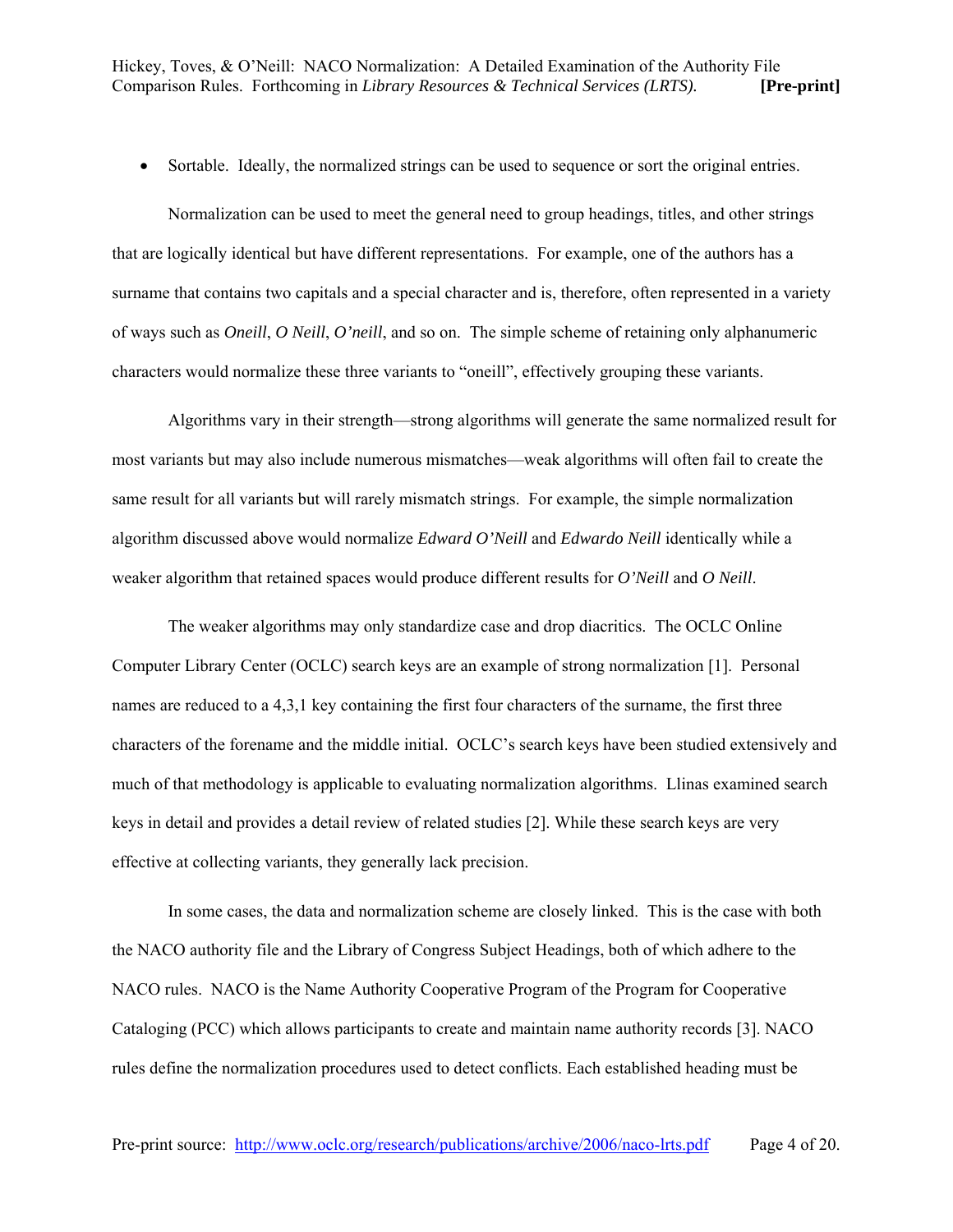• Sortable. Ideally, the normalized strings can be used to sequence or sort the original entries.

Normalization can be used to meet the general need to group headings, titles, and other strings that are logically identical but have different representations. For example, one of the authors has a surname that contains two capitals and a special character and is, therefore, often represented in a variety of ways such as *Oneill*, *O Neill*, *O'neill*, and so on. The simple scheme of retaining only alphanumeric characters would normalize these three variants to "oneill", effectively grouping these variants.

Algorithms vary in their strength—strong algorithms will generate the same normalized result for most variants but may also include numerous mismatches—weak algorithms will often fail to create the same result for all variants but will rarely mismatch strings. For example, the simple normalization algorithm discussed above would normalize *Edward O'Neill* and *Edwardo Neill* identically while a weaker algorithm that retained spaces would produce different results for *O'Neill* and *O Neill*.

The weaker algorithms may only standardize case and drop diacritics. The OCLC Online Computer Library Center (OCLC) search keys are an example of strong normalization [1]. Personal names are reduced to a 4,3,1 key containing the first four characters of the surname, the first three characters of the forename and the middle initial. OCLC's search keys have been studied extensively and much of that methodology is applicable to evaluating normalization algorithms. Llinas examined search keys in detail and provides a detail review of related studies [2]. While these search keys are very effective at collecting variants, they generally lack precision.

In some cases, the data and normalization scheme are closely linked. This is the case with both the NACO authority file and the Library of Congress Subject Headings, both of which adhere to the NACO rules. NACO is the Name Authority Cooperative Program of the Program for Cooperative Cataloging (PCC) which allows participants to create and maintain name authority records [3]. NACO rules define the normalization procedures used to detect conflicts. Each established heading must be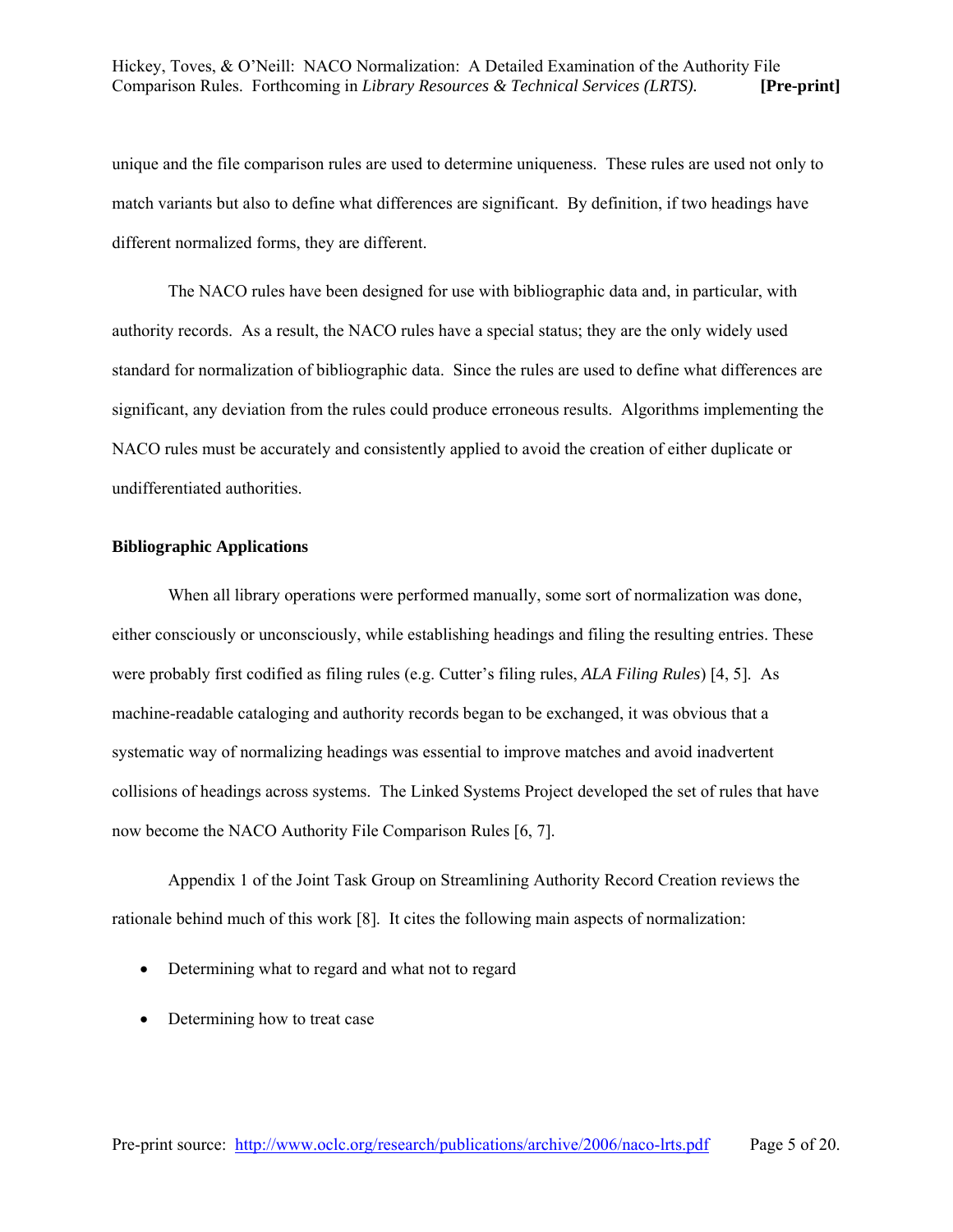unique and the file comparison rules are used to determine uniqueness. These rules are used not only to match variants but also to define what differences are significant. By definition, if two headings have different normalized forms, they are different.

The NACO rules have been designed for use with bibliographic data and, in particular, with authority records. As a result, the NACO rules have a special status; they are the only widely used standard for normalization of bibliographic data. Since the rules are used to define what differences are significant, any deviation from the rules could produce erroneous results. Algorithms implementing the NACO rules must be accurately and consistently applied to avoid the creation of either duplicate or undifferentiated authorities.

## **Bibliographic Applications**

When all library operations were performed manually, some sort of normalization was done, either consciously or unconsciously, while establishing headings and filing the resulting entries. These were probably first codified as filing rules (e.g. Cutter's filing rules, *ALA Filing Rules*) [4, 5]. As machine-readable cataloging and authority records began to be exchanged, it was obvious that a systematic way of normalizing headings was essential to improve matches and avoid inadvertent collisions of headings across systems. The Linked Systems Project developed the set of rules that have now become the NACO Authority File Comparison Rules [6, 7].

Appendix 1 of the Joint Task Group on Streamlining Authority Record Creation reviews the rationale behind much of this work [8]. It cites the following main aspects of normalization:

- Determining what to regard and what not to regard
- Determining how to treat case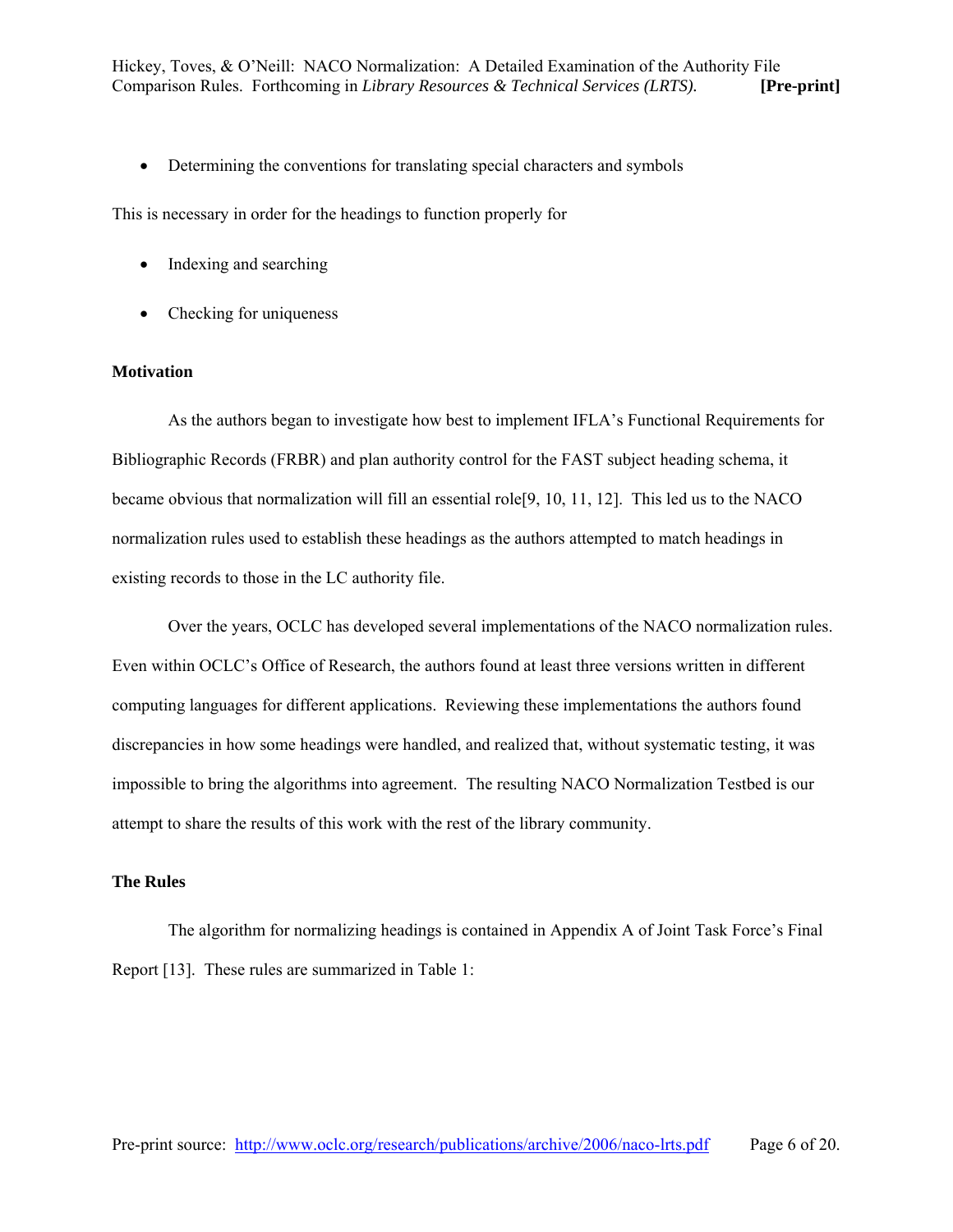• Determining the conventions for translating special characters and symbols

This is necessary in order for the headings to function properly for

- Indexing and searching
- Checking for uniqueness

#### **Motivation**

As the authors began to investigate how best to implement IFLA's Functional Requirements for Bibliographic Records (FRBR) and plan authority control for the FAST subject heading schema, it became obvious that normalization will fill an essential role[9, 10, 11, 12]. This led us to the NACO normalization rules used to establish these headings as the authors attempted to match headings in existing records to those in the LC authority file.

Over the years, OCLC has developed several implementations of the NACO normalization rules. Even within OCLC's Office of Research, the authors found at least three versions written in different computing languages for different applications. Reviewing these implementations the authors found discrepancies in how some headings were handled, and realized that, without systematic testing, it was impossible to bring the algorithms into agreement. The resulting NACO Normalization Testbed is our attempt to share the results of this work with the rest of the library community.

## **The Rules**

The algorithm for normalizing headings is contained in Appendix A of Joint Task Force's Final Report [13]. These rules are summarized in Table 1: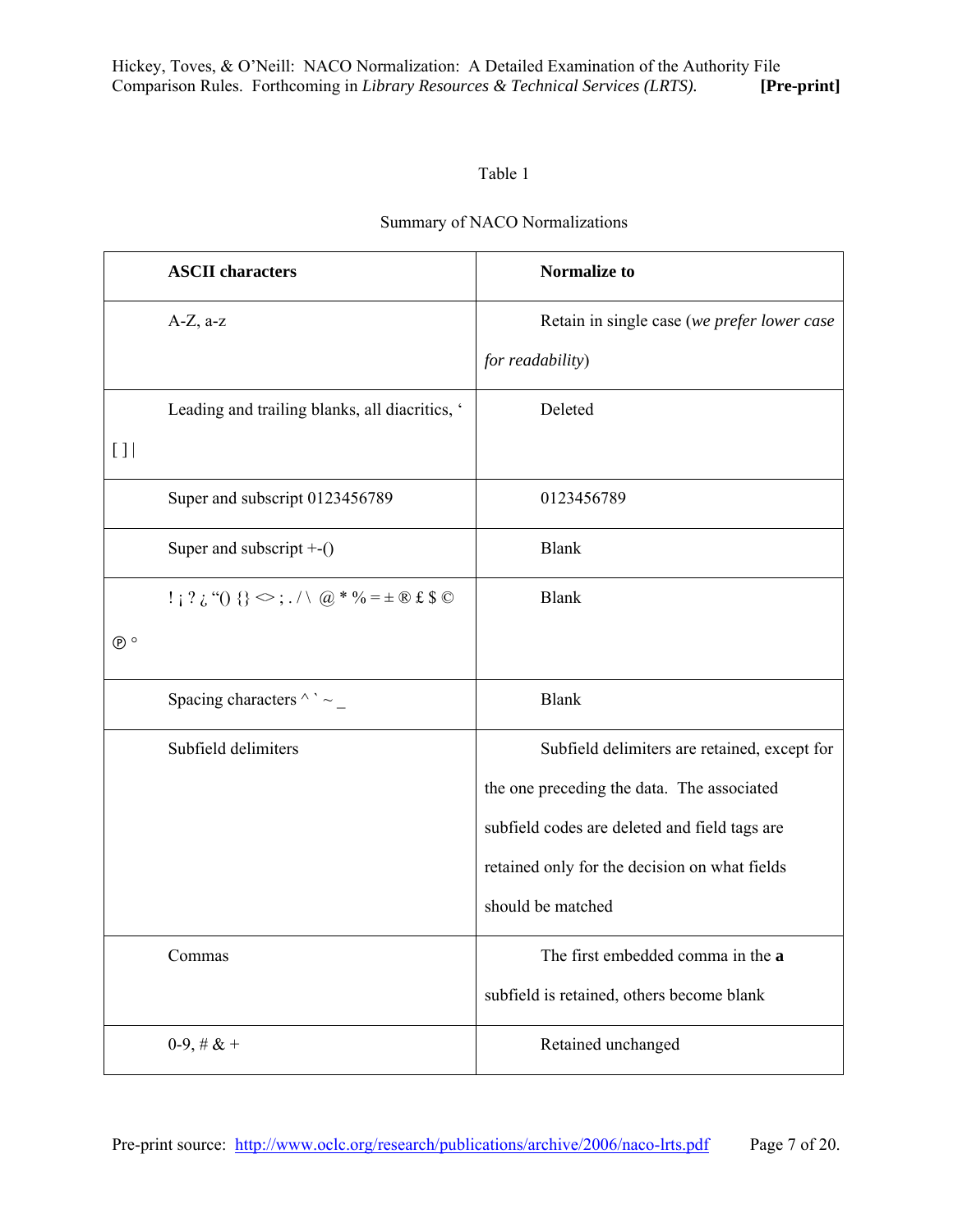## Table 1

## Summary of NACO Normalizations

|                                                 | <b>ASCII</b> characters                                                                                                                                                     | <b>Normalize to</b>                           |
|-------------------------------------------------|-----------------------------------------------------------------------------------------------------------------------------------------------------------------------------|-----------------------------------------------|
|                                                 | $A-Z$ , a-z                                                                                                                                                                 | Retain in single case (we prefer lower case   |
|                                                 |                                                                                                                                                                             | for readability)                              |
|                                                 | Leading and trailing blanks, all diacritics, '                                                                                                                              | Deleted                                       |
| $\left[ \begin{array}{c} 1 \end{array} \right]$ |                                                                                                                                                                             |                                               |
|                                                 | Super and subscript 0123456789                                                                                                                                              | 0123456789                                    |
|                                                 | Super and subscript $+-()$                                                                                                                                                  | <b>Blank</b>                                  |
|                                                 | $! \; i \; ? \; i \; ( \; ) \; \{ \} \; \langle \; ; \; . \; / \; \langle \; \alpha \rangle^* \; \mathcal{N} = \pm \; \mathbb{R} \; \mathbf{f} \; \mathbf{S} \; \mathbb{C}$ | <b>Blank</b>                                  |
| $\circ$                                         |                                                                                                                                                                             |                                               |
|                                                 | Spacing characters $\wedge$ $\sim$ _                                                                                                                                        | <b>Blank</b>                                  |
|                                                 | Subfield delimiters                                                                                                                                                         | Subfield delimiters are retained, except for  |
|                                                 |                                                                                                                                                                             | the one preceding the data. The associated    |
|                                                 |                                                                                                                                                                             | subfield codes are deleted and field tags are |
|                                                 |                                                                                                                                                                             | retained only for the decision on what fields |
|                                                 |                                                                                                                                                                             | should be matched                             |
|                                                 | Commas                                                                                                                                                                      | The first embedded comma in the a             |
|                                                 |                                                                                                                                                                             | subfield is retained, others become blank     |
|                                                 | $0-9, \# \& +$                                                                                                                                                              | Retained unchanged                            |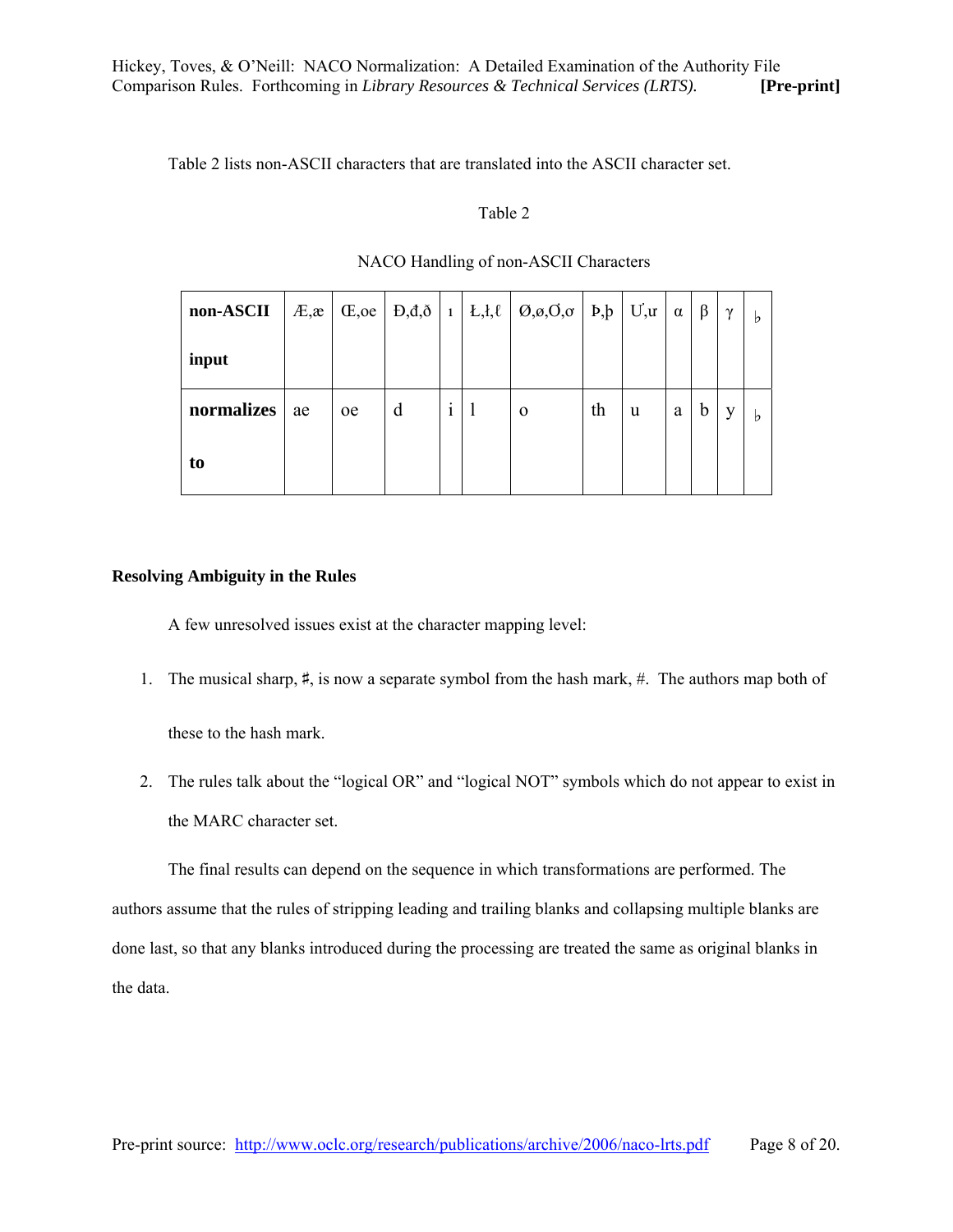Table 2 lists non-ASCII characters that are translated into the ASCII character set.

#### Table 2

| non-ASCII  | $E,\mathbf{x}$ |               |   |  | $ CE, \text{oe}   D, d, \delta   1   L, l, \ell   O, \varphi, O, \varphi   D, \beta   U, \alpha   \alpha$ |    |   |   | $\beta$     | $\gamma$ | b |
|------------|----------------|---------------|---|--|-----------------------------------------------------------------------------------------------------------|----|---|---|-------------|----------|---|
| input      |                |               |   |  |                                                                                                           |    |   |   |             |          |   |
| normalizes | ae             | <sub>oe</sub> | d |  | $\Omega$                                                                                                  | th | u | a | $\mathbf b$ |          | b |
| to         |                |               |   |  |                                                                                                           |    |   |   |             |          |   |

## NACO Handling of non-ASCII Characters

## **Resolving Ambiguity in the Rules**

A few unresolved issues exist at the character mapping level:

1. The musical sharp, ♯, is now a separate symbol from the hash mark, #. The authors map both of

these to the hash mark.

2. The rules talk about the "logical OR" and "logical NOT" symbols which do not appear to exist in the MARC character set.

The final results can depend on the sequence in which transformations are performed. The authors assume that the rules of stripping leading and trailing blanks and collapsing multiple blanks are done last, so that any blanks introduced during the processing are treated the same as original blanks in the data.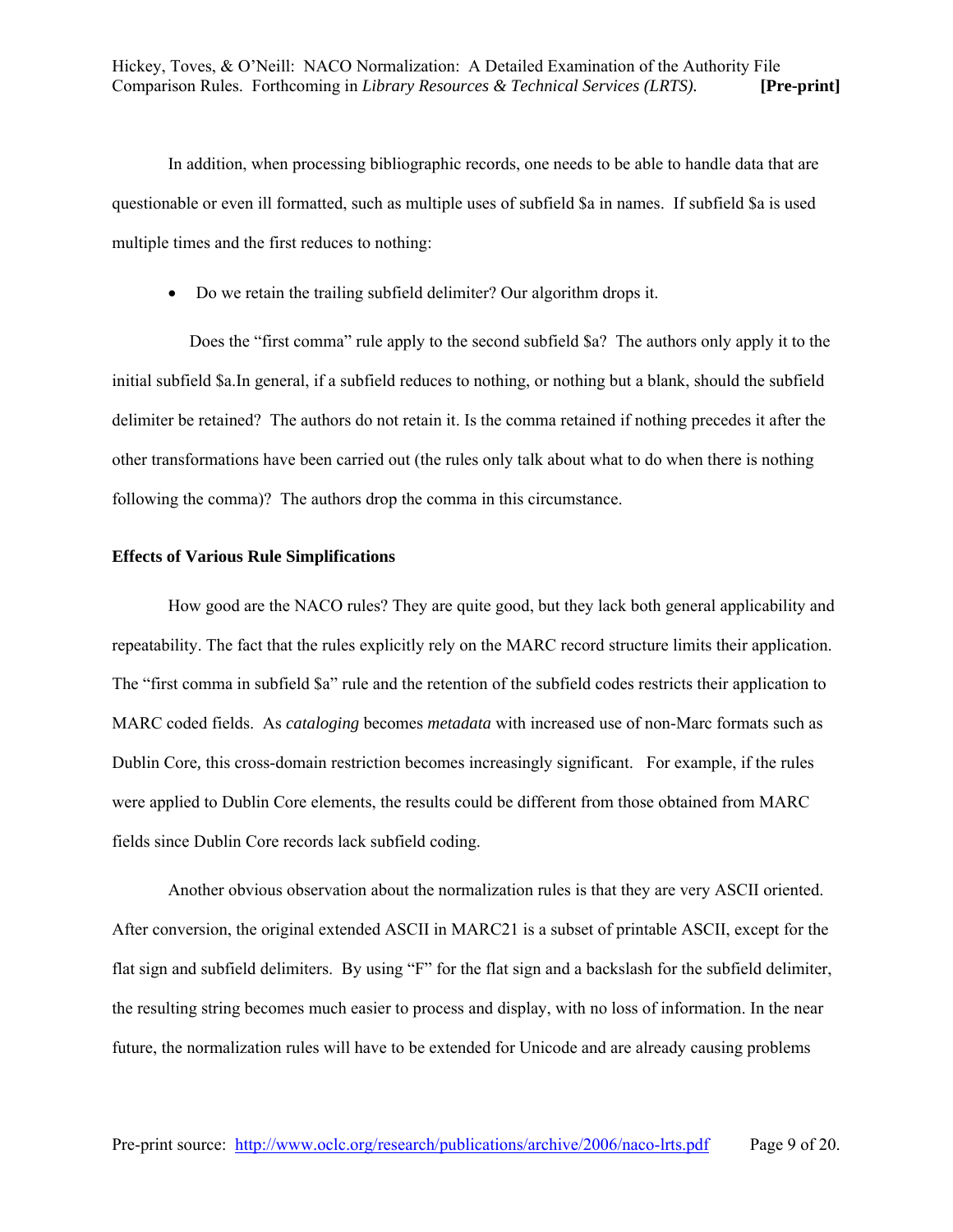In addition, when processing bibliographic records, one needs to be able to handle data that are questionable or even ill formatted, such as multiple uses of subfield \$a in names. If subfield \$a is used multiple times and the first reduces to nothing:

• Do we retain the trailing subfield delimiter? Our algorithm drops it.

 Does the "first comma" rule apply to the second subfield \$a? The authors only apply it to the initial subfield \$a.In general, if a subfield reduces to nothing, or nothing but a blank, should the subfield delimiter be retained? The authors do not retain it. Is the comma retained if nothing precedes it after the other transformations have been carried out (the rules only talk about what to do when there is nothing following the comma)? The authors drop the comma in this circumstance.

## **Effects of Various Rule Simplifications**

How good are the NACO rules? They are quite good, but they lack both general applicability and repeatability. The fact that the rules explicitly rely on the MARC record structure limits their application. The "first comma in subfield \$a" rule and the retention of the subfield codes restricts their application to MARC coded fields. As *cataloging* becomes *metadata* with increased use of non-Marc formats such as Dublin Core*,* this cross-domain restriction becomes increasingly significant. For example, if the rules were applied to Dublin Core elements, the results could be different from those obtained from MARC fields since Dublin Core records lack subfield coding.

Another obvious observation about the normalization rules is that they are very ASCII oriented. After conversion, the original extended ASCII in MARC21 is a subset of printable ASCII, except for the flat sign and subfield delimiters. By using "F" for the flat sign and a backslash for the subfield delimiter, the resulting string becomes much easier to process and display, with no loss of information. In the near future, the normalization rules will have to be extended for Unicode and are already causing problems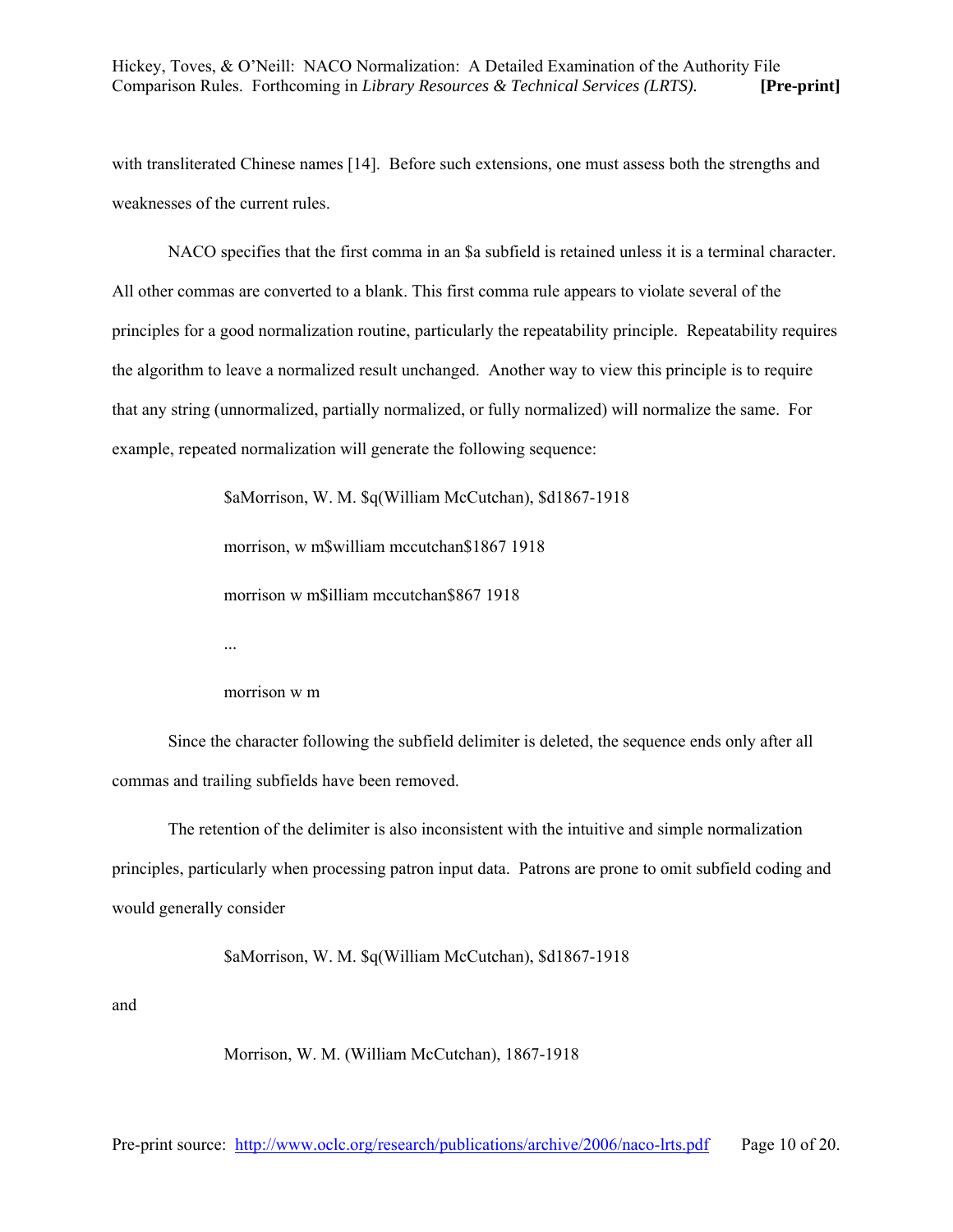with transliterated Chinese names [14]. Before such extensions, one must assess both the strengths and weaknesses of the current rules.

NACO specifies that the first comma in an \$a subfield is retained unless it is a terminal character. All other commas are converted to a blank. This first comma rule appears to violate several of the principles for a good normalization routine, particularly the repeatability principle. Repeatability requires the algorithm to leave a normalized result unchanged. Another way to view this principle is to require that any string (unnormalized, partially normalized, or fully normalized) will normalize the same. For example, repeated normalization will generate the following sequence:

> \$aMorrison, W. M. \$q(William McCutchan), \$d1867-1918 morrison, w m\$william mccutchan\$1867 1918 morrison w m\$illiam mccutchan\$867 1918 ...

#### morrison w m

Since the character following the subfield delimiter is deleted, the sequence ends only after all commas and trailing subfields have been removed.

The retention of the delimiter is also inconsistent with the intuitive and simple normalization principles, particularly when processing patron input data. Patrons are prone to omit subfield coding and would generally consider

\$aMorrison, W. M. \$q(William McCutchan), \$d1867-1918

and

Morrison, W. M. (William McCutchan), 1867-1918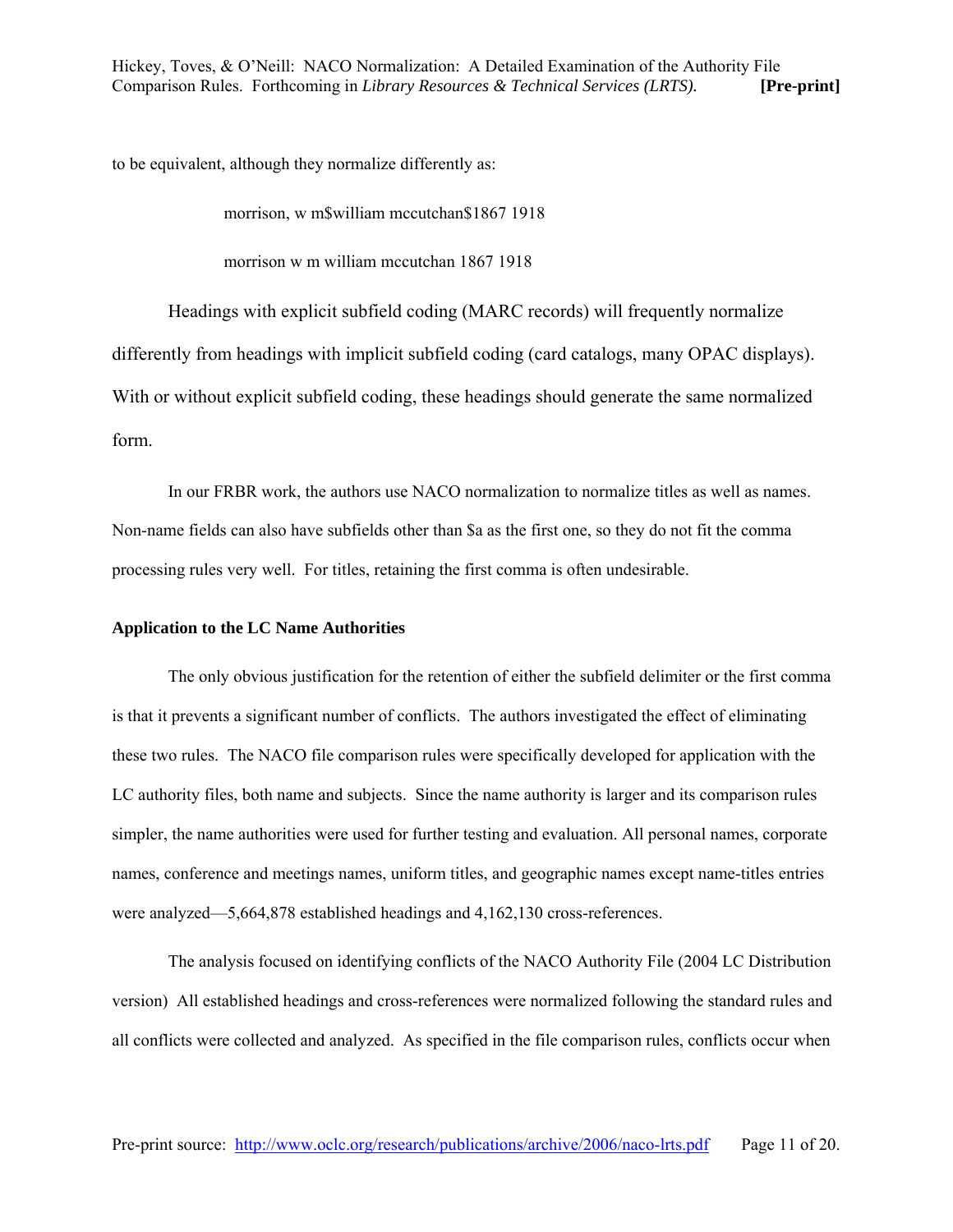to be equivalent, although they normalize differently as:

morrison, w m\$william mccutchan\$1867 1918

morrison w m william mccutchan 1867 1918

Headings with explicit subfield coding (MARC records) will frequently normalize differently from headings with implicit subfield coding (card catalogs, many OPAC displays). With or without explicit subfield coding, these headings should generate the same normalized form.

In our FRBR work, the authors use NACO normalization to normalize titles as well as names. Non-name fields can also have subfields other than \$a as the first one, so they do not fit the comma processing rules very well. For titles, retaining the first comma is often undesirable.

#### **Application to the LC Name Authorities**

The only obvious justification for the retention of either the subfield delimiter or the first comma is that it prevents a significant number of conflicts. The authors investigated the effect of eliminating these two rules. The NACO file comparison rules were specifically developed for application with the LC authority files, both name and subjects. Since the name authority is larger and its comparison rules simpler, the name authorities were used for further testing and evaluation. All personal names, corporate names, conference and meetings names, uniform titles, and geographic names except name-titles entries were analyzed—5,664,878 established headings and 4,162,130 cross-references.

The analysis focused on identifying conflicts of the NACO Authority File (2004 LC Distribution version) All established headings and cross-references were normalized following the standard rules and all conflicts were collected and analyzed. As specified in the file comparison rules, conflicts occur when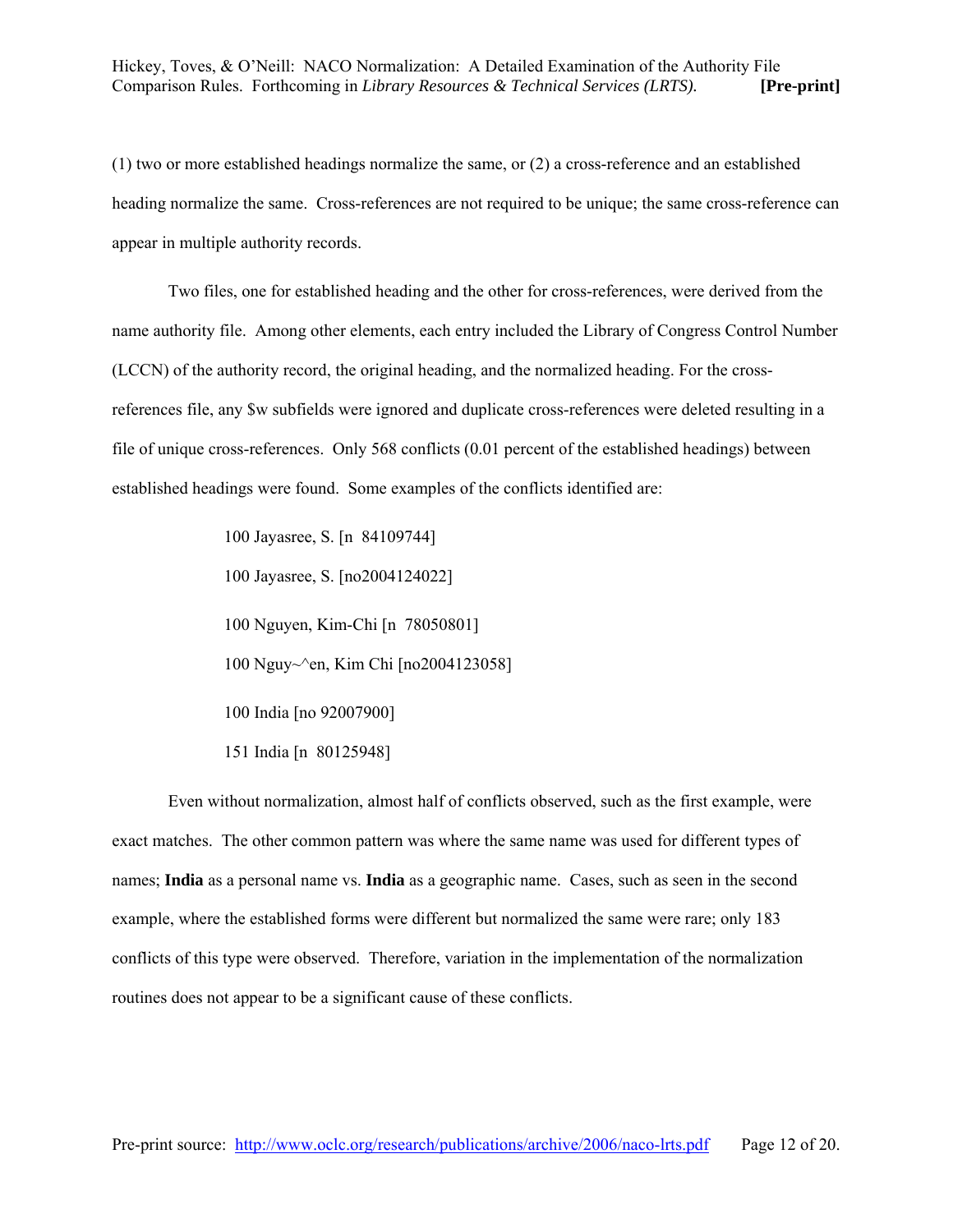(1) two or more established headings normalize the same, or (2) a cross-reference and an established heading normalize the same. Cross-references are not required to be unique; the same cross-reference can appear in multiple authority records.

Two files, one for established heading and the other for cross-references, were derived from the name authority file. Among other elements, each entry included the Library of Congress Control Number (LCCN) of the authority record, the original heading, and the normalized heading. For the crossreferences file, any \$w subfields were ignored and duplicate cross-references were deleted resulting in a file of unique cross-references. Only 568 conflicts (0.01 percent of the established headings) between established headings were found. Some examples of the conflicts identified are:

> 100 Jayasree, S. [n 84109744] 100 Jayasree, S. [no2004124022] 100 Nguyen, Kim-Chi [n 78050801] 100 Nguy~^en, Kim Chi [no2004123058] 100 India [no 92007900] 151 India [n 80125948]

Even without normalization, almost half of conflicts observed, such as the first example, were exact matches. The other common pattern was where the same name was used for different types of names; **India** as a personal name vs. **India** as a geographic name. Cases, such as seen in the second example, where the established forms were different but normalized the same were rare; only 183 conflicts of this type were observed. Therefore, variation in the implementation of the normalization routines does not appear to be a significant cause of these conflicts.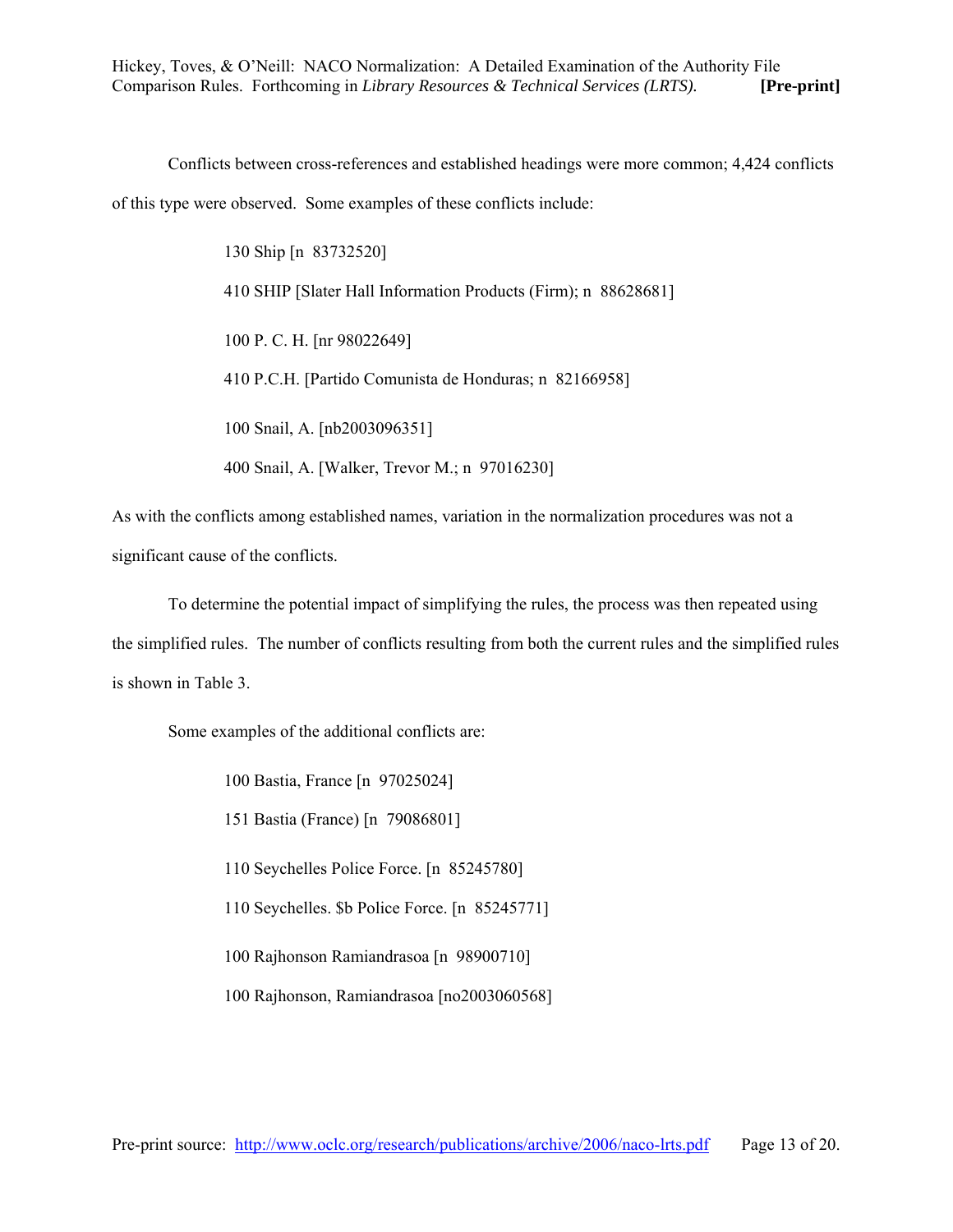Conflicts between cross-references and established headings were more common; 4,424 conflicts of this type were observed. Some examples of these conflicts include:

> 130 Ship [n 83732520] 410 SHIP [Slater Hall Information Products (Firm); n 88628681] 100 P. C. H. [nr 98022649] 410 P.C.H. [Partido Comunista de Honduras; n 82166958] 100 Snail, A. [nb2003096351] 400 Snail, A. [Walker, Trevor M.; n 97016230]

As with the conflicts among established names, variation in the normalization procedures was not a significant cause of the conflicts.

To determine the potential impact of simplifying the rules, the process was then repeated using the simplified rules. The number of conflicts resulting from both the current rules and the simplified rules is shown in Table 3.

Some examples of the additional conflicts are:

 100 Bastia, France [n 97025024] 151 Bastia (France) [n 79086801] 110 Seychelles Police Force. [n 85245780] 110 Seychelles. \$b Police Force. [n 85245771] 100 Rajhonson Ramiandrasoa [n 98900710] 100 Rajhonson, Ramiandrasoa [no2003060568]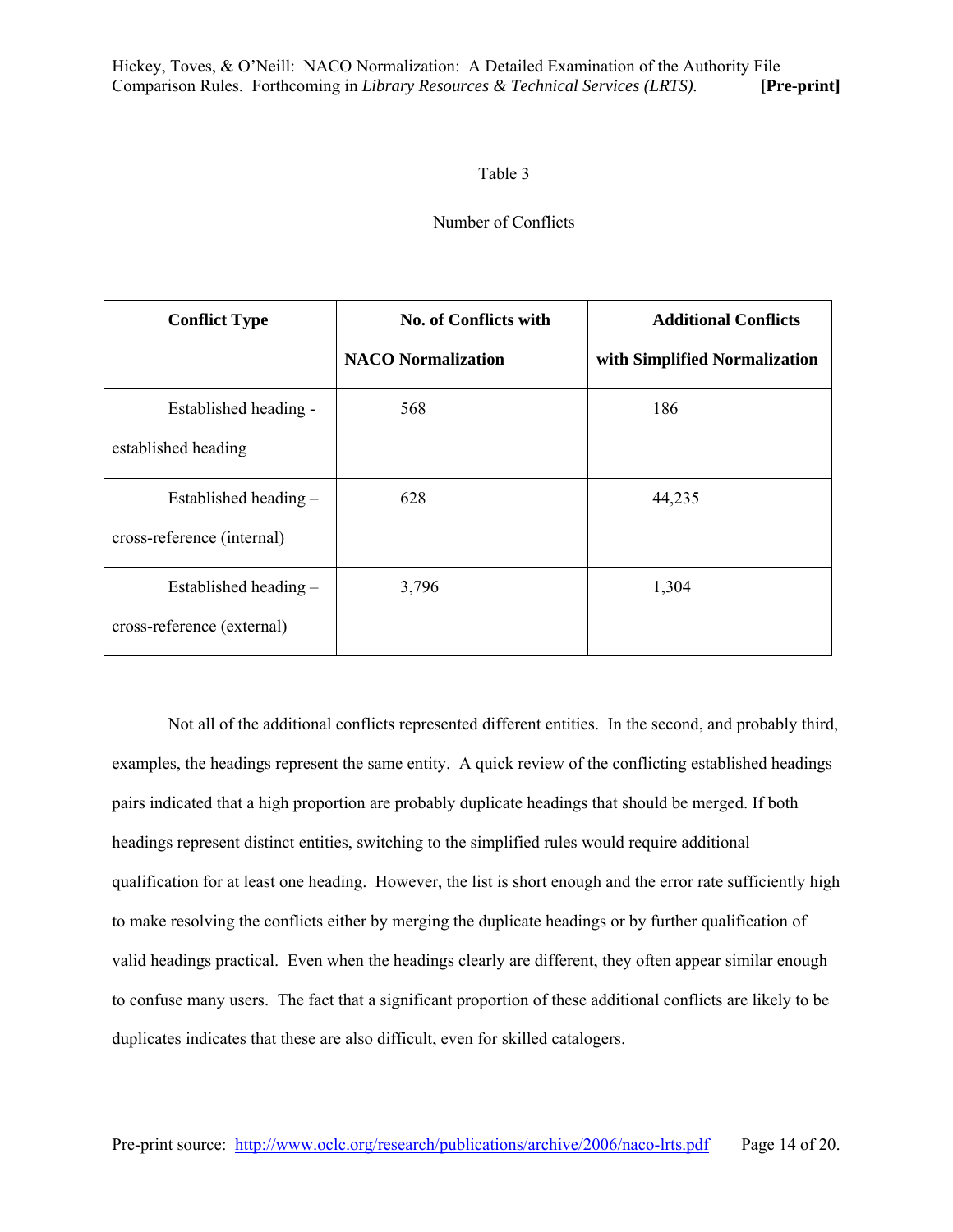#### Table 3

## Number of Conflicts

| <b>Conflict Type</b>       | <b>No. of Conflicts with</b> | <b>Additional Conflicts</b>   |  |  |  |
|----------------------------|------------------------------|-------------------------------|--|--|--|
|                            | <b>NACO</b> Normalization    | with Simplified Normalization |  |  |  |
| Established heading -      | 568                          | 186                           |  |  |  |
| established heading        |                              |                               |  |  |  |
| Established heading -      | 628                          | 44,235                        |  |  |  |
| cross-reference (internal) |                              |                               |  |  |  |
| Established heading $-$    | 3,796                        | 1,304                         |  |  |  |
| cross-reference (external) |                              |                               |  |  |  |

Not all of the additional conflicts represented different entities. In the second, and probably third, examples, the headings represent the same entity. A quick review of the conflicting established headings pairs indicated that a high proportion are probably duplicate headings that should be merged. If both headings represent distinct entities, switching to the simplified rules would require additional qualification for at least one heading. However, the list is short enough and the error rate sufficiently high to make resolving the conflicts either by merging the duplicate headings or by further qualification of valid headings practical. Even when the headings clearly are different, they often appear similar enough to confuse many users. The fact that a significant proportion of these additional conflicts are likely to be duplicates indicates that these are also difficult, even for skilled catalogers.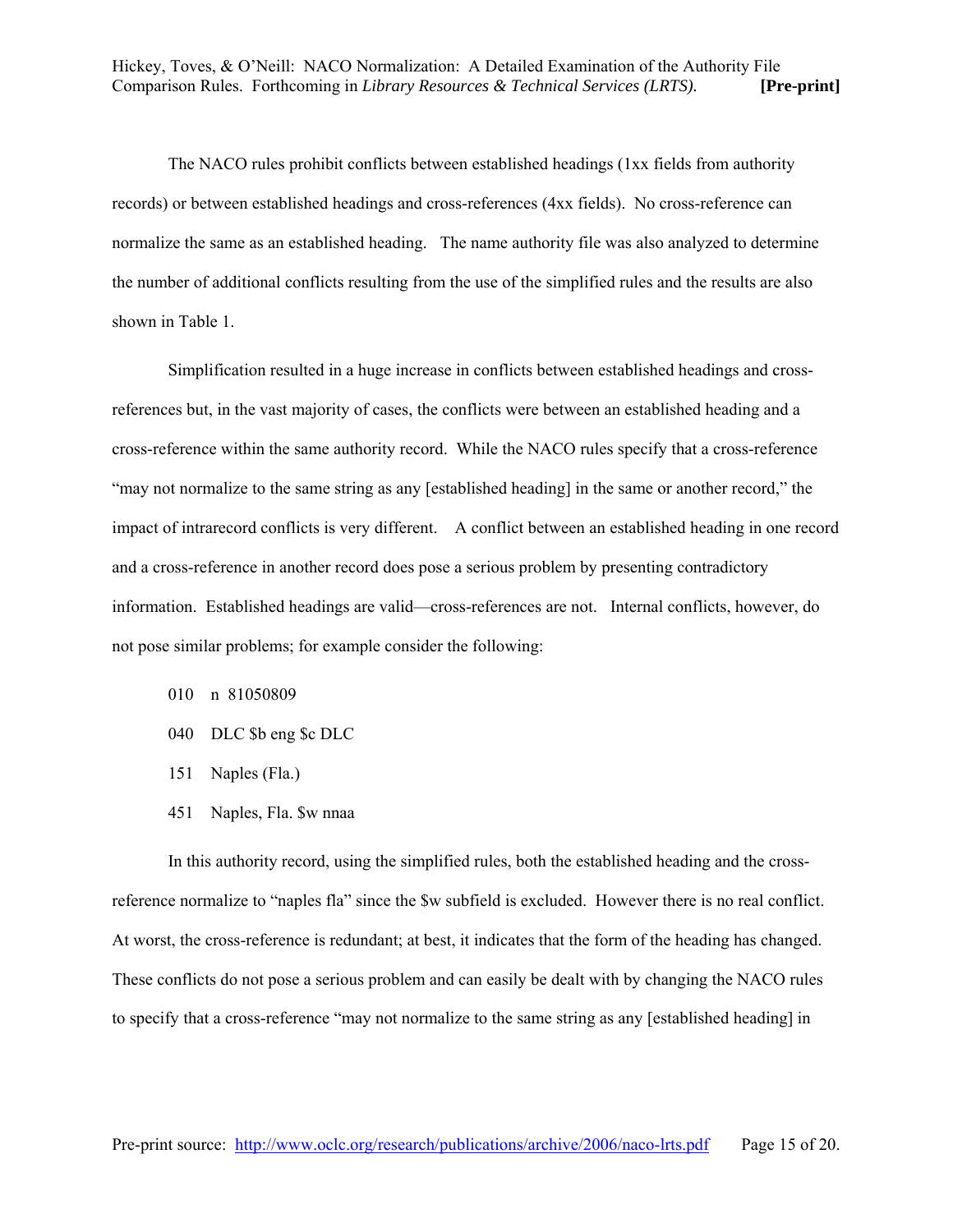The NACO rules prohibit conflicts between established headings (1xx fields from authority records) or between established headings and cross-references (4xx fields). No cross-reference can normalize the same as an established heading. The name authority file was also analyzed to determine the number of additional conflicts resulting from the use of the simplified rules and the results are also shown in Table 1.

Simplification resulted in a huge increase in conflicts between established headings and crossreferences but, in the vast majority of cases, the conflicts were between an established heading and a cross-reference within the same authority record. While the NACO rules specify that a cross-reference "may not normalize to the same string as any [established heading] in the same or another record," the impact of intrarecord conflicts is very different. A conflict between an established heading in one record and a cross-reference in another record does pose a serious problem by presenting contradictory information. Established headings are valid—cross-references are not. Internal conflicts, however, do not pose similar problems; for example consider the following:

- 010 n 81050809
- 040 DLC \$b eng \$c DLC
- 151 Naples (Fla.)
- 451 Naples, Fla. \$w nnaa

In this authority record, using the simplified rules, both the established heading and the crossreference normalize to "naples fla" since the \$w subfield is excluded. However there is no real conflict. At worst, the cross-reference is redundant; at best, it indicates that the form of the heading has changed. These conflicts do not pose a serious problem and can easily be dealt with by changing the NACO rules to specify that a cross-reference "may not normalize to the same string as any [established heading] in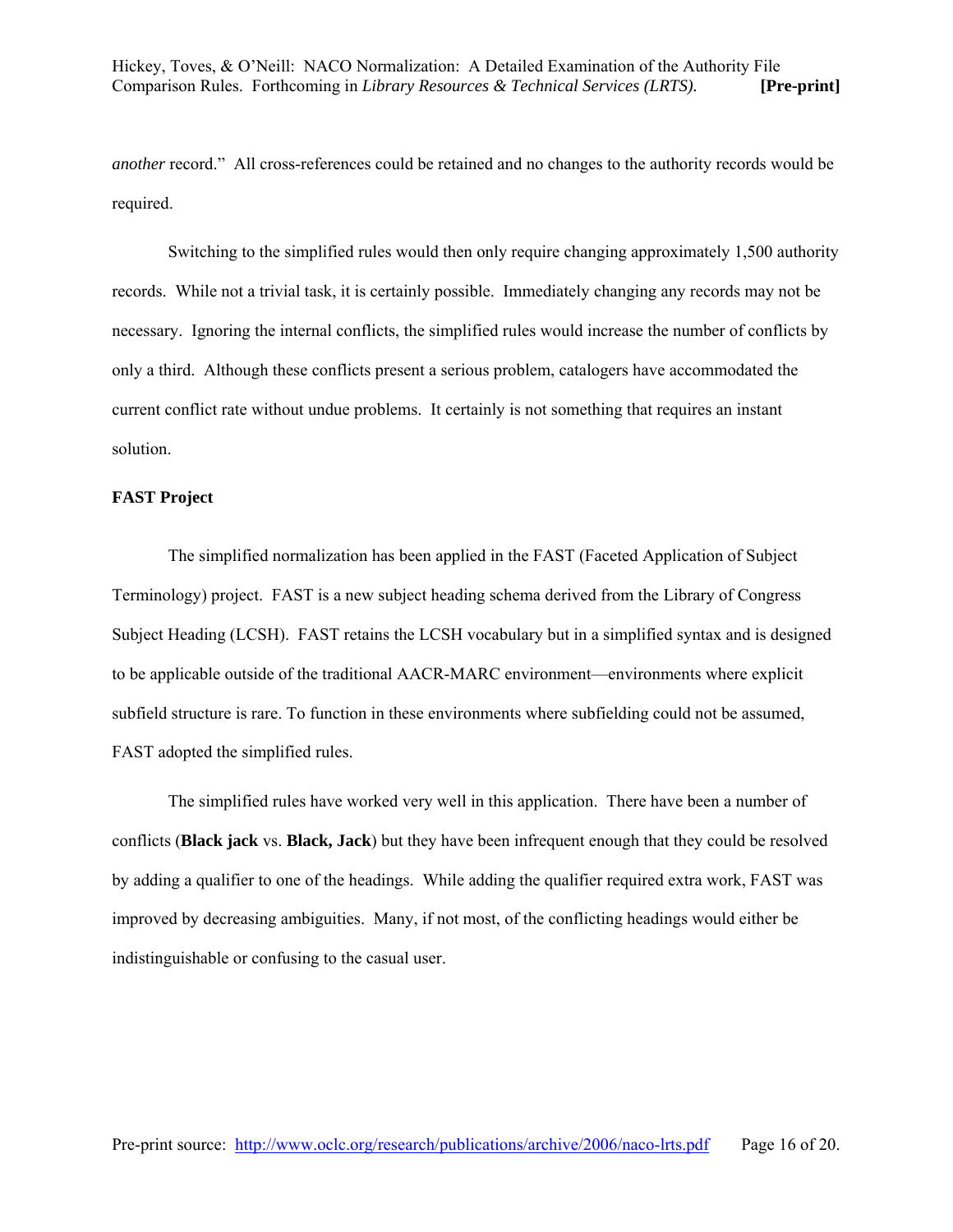*another* record." All cross-references could be retained and no changes to the authority records would be required.

Switching to the simplified rules would then only require changing approximately 1,500 authority records. While not a trivial task, it is certainly possible. Immediately changing any records may not be necessary. Ignoring the internal conflicts, the simplified rules would increase the number of conflicts by only a third. Although these conflicts present a serious problem, catalogers have accommodated the current conflict rate without undue problems. It certainly is not something that requires an instant solution.

#### **FAST Project**

The simplified normalization has been applied in the FAST (Faceted Application of Subject Terminology) project. FAST is a new subject heading schema derived from the Library of Congress Subject Heading (LCSH). FAST retains the LCSH vocabulary but in a simplified syntax and is designed to be applicable outside of the traditional AACR-MARC environment—environments where explicit subfield structure is rare. To function in these environments where subfielding could not be assumed, FAST adopted the simplified rules.

The simplified rules have worked very well in this application. There have been a number of conflicts (**Black jack** vs. **Black, Jack**) but they have been infrequent enough that they could be resolved by adding a qualifier to one of the headings. While adding the qualifier required extra work, FAST was improved by decreasing ambiguities. Many, if not most, of the conflicting headings would either be indistinguishable or confusing to the casual user.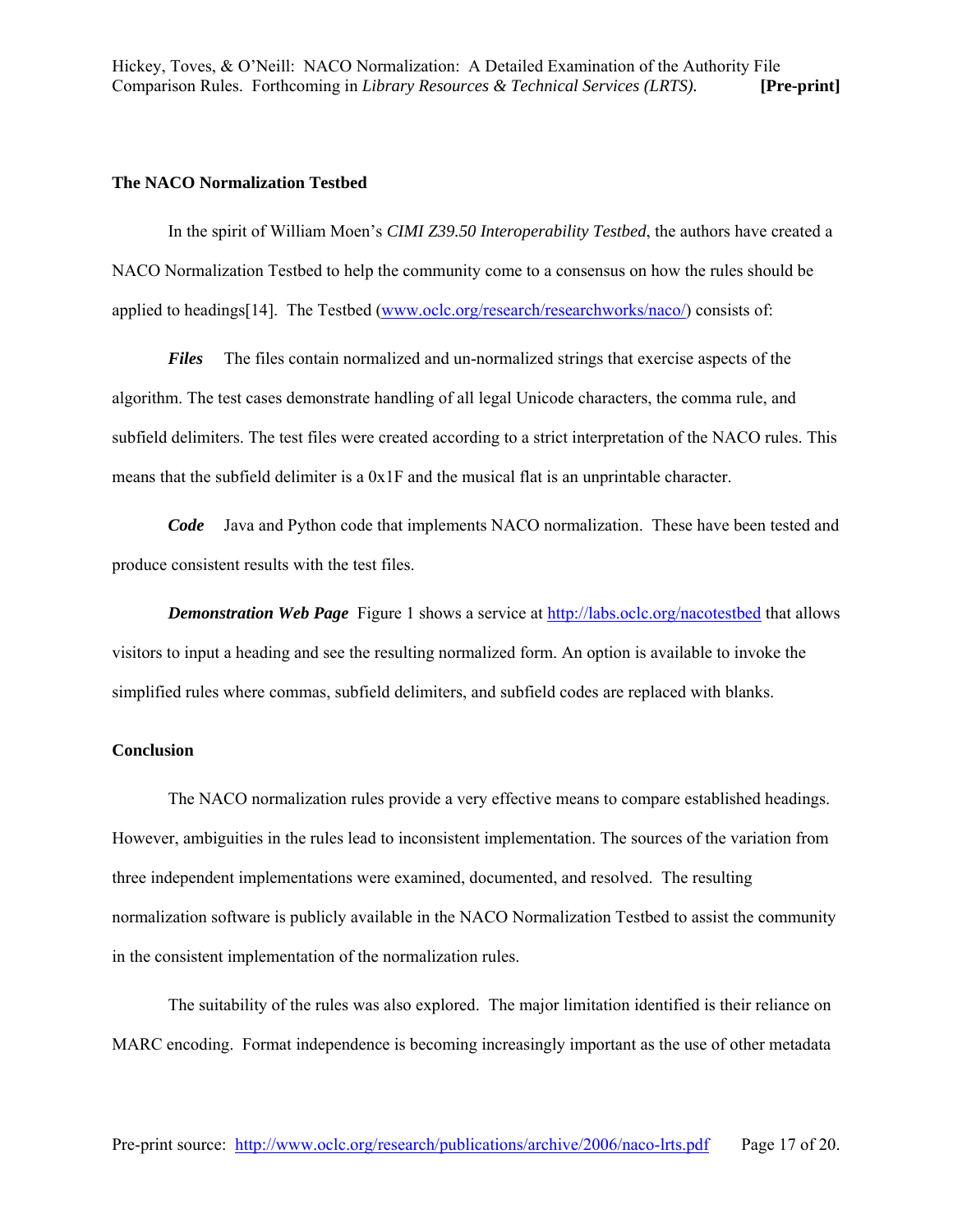#### **The NACO Normalization Testbed**

In the spirit of William Moen's *CIMI Z39.50 Interoperability Testbed*, the authors have created a NACO Normalization Testbed to help the community come to a consensus on how the rules should be applied to headings[14]. The Testbed (www.oclc.org/research/researchworks/naco/) consists of:

*Files* The files contain normalized and un-normalized strings that exercise aspects of the algorithm. The test cases demonstrate handling of all legal Unicode characters, the comma rule, and subfield delimiters. The test files were created according to a strict interpretation of the NACO rules. This means that the subfield delimiter is a 0x1F and the musical flat is an unprintable character.

*Code* Java and Python code that implements NACO normalization. These have been tested and produce consistent results with the test files.

*Demonstration Web Page* Figure 1 shows a service at <http://labs.oclc.org/nacotestbed> that allows visitors to input a heading and see the resulting normalized form. An option is available to invoke the simplified rules where commas, subfield delimiters, and subfield codes are replaced with blanks.

#### **Conclusion**

The NACO normalization rules provide a very effective means to compare established headings. However, ambiguities in the rules lead to inconsistent implementation. The sources of the variation from three independent implementations were examined, documented, and resolved. The resulting normalization software is publicly available in the NACO Normalization Testbed to assist the community in the consistent implementation of the normalization rules.

The suitability of the rules was also explored. The major limitation identified is their reliance on MARC encoding. Format independence is becoming increasingly important as the use of other metadata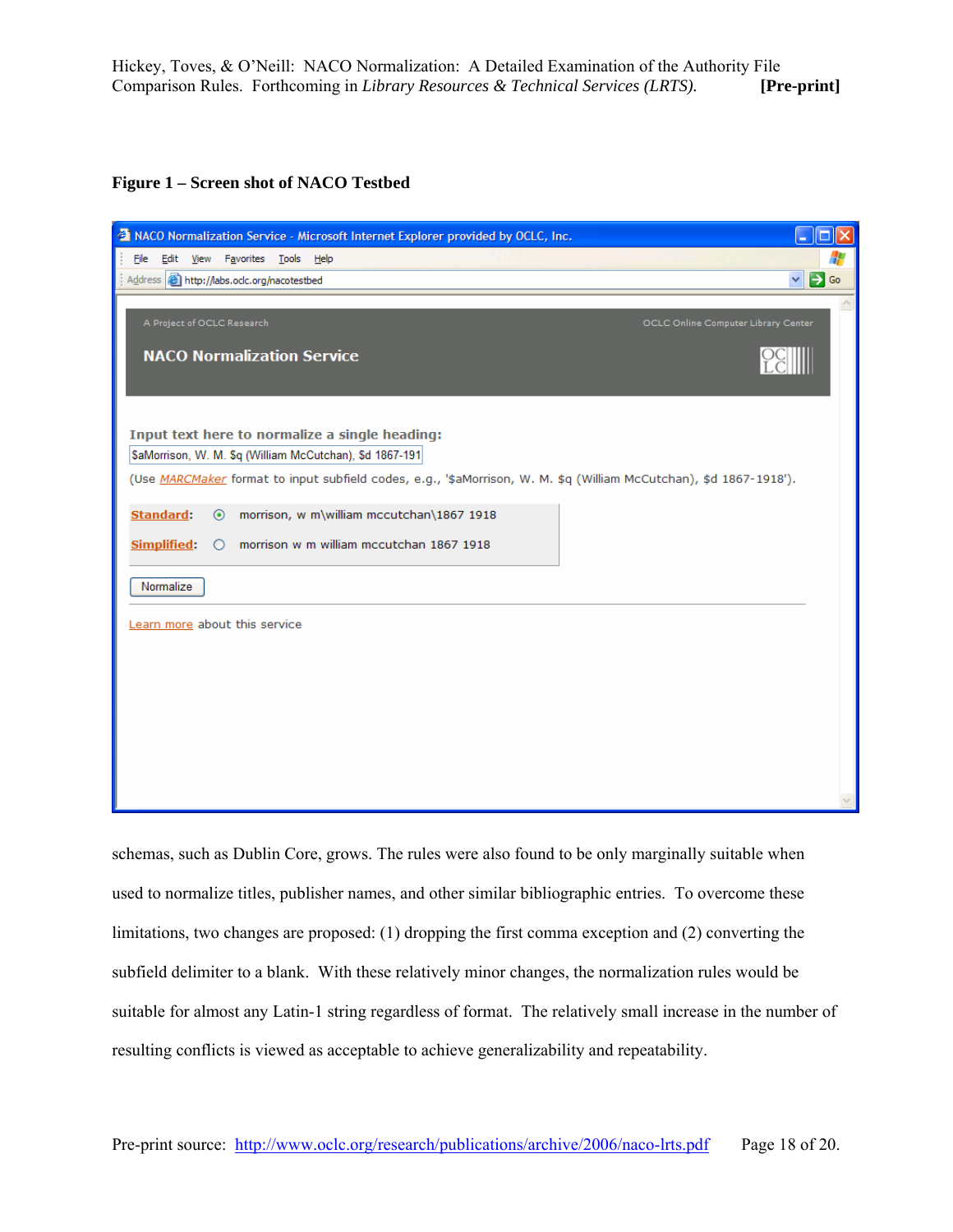**Figure 1 – Screen shot of NACO Testbed** 

| <sup>2</sup> NACO Normalization Service - Microsoft Internet Explorer provided by OCLC, Inc.                       | $\Box$ $\times$  |
|--------------------------------------------------------------------------------------------------------------------|------------------|
| File Edit View Favorites Tools Help                                                                                | 4                |
| Address <b>ig</b> http://labs.odc.org/nacotestbed<br>$\checkmark$                                                  | $\Rightarrow$ Go |
|                                                                                                                    |                  |
| A Project of OCLC Research<br>OCLC Online Computer Library Center                                                  |                  |
| <b>NACO Normalization Service</b>                                                                                  |                  |
|                                                                                                                    |                  |
|                                                                                                                    |                  |
|                                                                                                                    |                  |
| Input text here to normalize a single heading:                                                                     |                  |
| \$aMorrison, W. M. \$q (William McCutchan), \$d 1867-191                                                           |                  |
| (Use MARCMaker format to input subfield codes, e.g., '\$aMorrison, W. M. \$q (William McCutchan), \$d 1867-1918'). |                  |
| <b>Standard:</b><br>morrison, w m\william mccutchan\1867 1918<br>$\odot$                                           |                  |
| morrison w m william mccutchan 1867 1918<br><b>Simplified:</b><br>$\circ$                                          |                  |
|                                                                                                                    |                  |
| Normalize                                                                                                          |                  |
|                                                                                                                    |                  |
| Learn more about this service                                                                                      |                  |
|                                                                                                                    |                  |
|                                                                                                                    |                  |
|                                                                                                                    |                  |
|                                                                                                                    |                  |
|                                                                                                                    |                  |
|                                                                                                                    |                  |
|                                                                                                                    |                  |
|                                                                                                                    |                  |

schemas, such as Dublin Core, grows. The rules were also found to be only marginally suitable when used to normalize titles, publisher names, and other similar bibliographic entries. To overcome these limitations, two changes are proposed: (1) dropping the first comma exception and (2) converting the subfield delimiter to a blank. With these relatively minor changes, the normalization rules would be suitable for almost any Latin-1 string regardless of format. The relatively small increase in the number of resulting conflicts is viewed as acceptable to achieve generalizability and repeatability.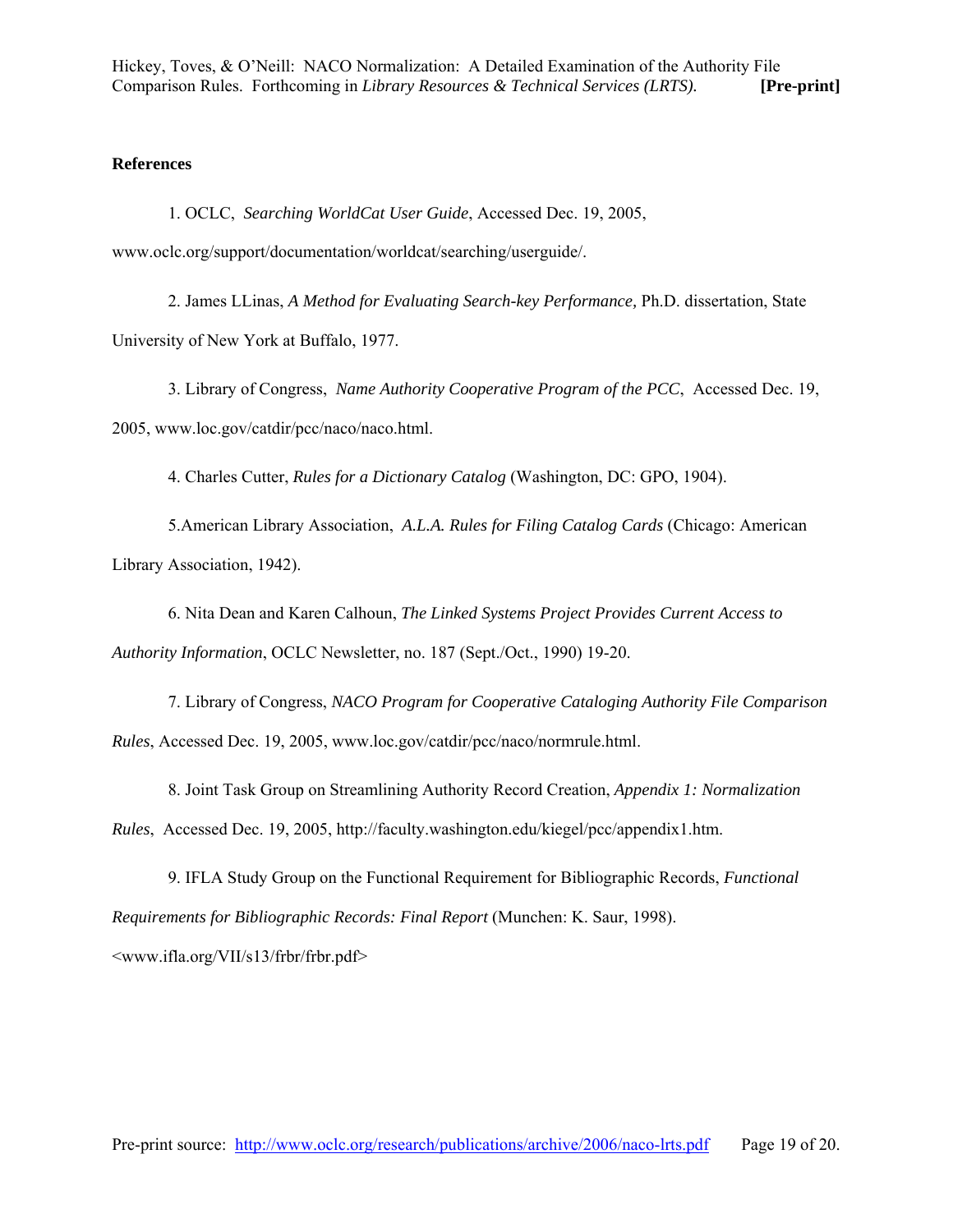## **References**

1. OCLC, *Searching WorldCat User Guide*, Accessed Dec. 19, 2005, www.oclc.org/support/documentation/worldcat/searching/userguide/.

2. James LLinas, *A Method for Evaluating Search-key Performance,* Ph.D. dissertation, State University of New York at Buffalo, 1977.

3. Library of Congress, *Name Authority Cooperative Program of the PCC*, Accessed Dec. 19, 2005, www.loc.gov/catdir/pcc/naco/naco.html.

4. Charles Cutter, *Rules for a Dictionary Catalog* (Washington, DC: GPO, 1904).

5.American Library Association, *A.L.A. Rules for Filing Catalog Cards* (Chicago: American Library Association, 1942).

6. Nita Dean and Karen Calhoun, *The Linked Systems Project Provides Current Access to Authority Information*, OCLC Newsletter, no. 187 (Sept./Oct., 1990) 19-20.

7. Library of Congress, *NACO Program for Cooperative Cataloging Authority File Comparison Rules*, Accessed Dec. 19, 2005, www.loc.gov/catdir/pcc/naco/normrule.html.

8. Joint Task Group on Streamlining Authority Record Creation, *Appendix 1: Normalization Rules*, Accessed Dec. 19, 2005, http://faculty.washington.edu/kiegel/pcc/appendix1.htm.

9. IFLA Study Group on the Functional Requirement for Bibliographic Records, *Functional Requirements for Bibliographic Records: Final Report* (Munchen: K. Saur, 1998). <www.ifla.org/VII/s13/frbr/frbr.pdf>